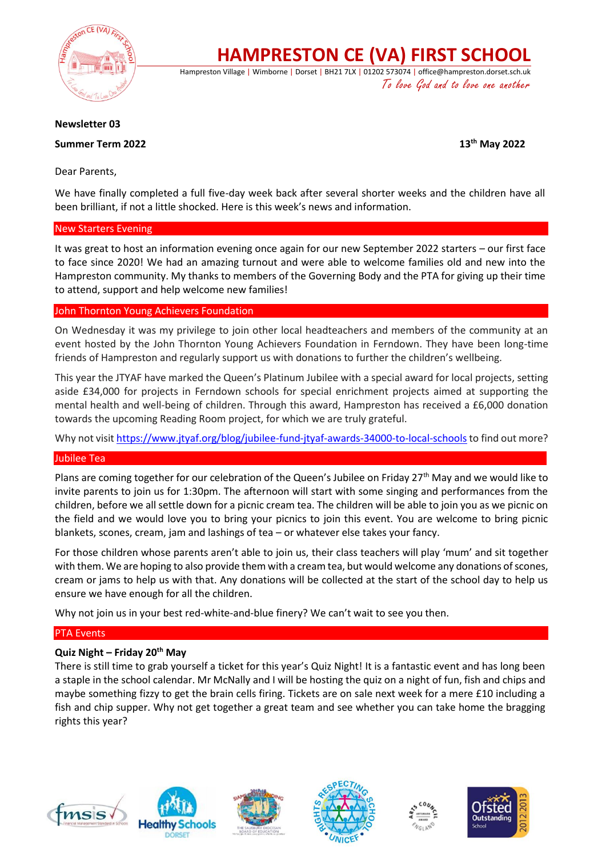

**HAMPRESTON CE (VA) FIRST SCHOOL**

Hampreston Village | Wimborne | Dorset | BH21 7LX | 01202 573074 | office@hampreston.dorset.sch.uk To love God and to love one another

## **Newsletter 03**

**Summer Term 2022 13th May 2022**

Dear Parents,

We have finally completed a full five-day week back after several shorter weeks and the children have all been brilliant, if not a little shocked. Here is this week's news and information.

## New Starters Evening

It was great to host an information evening once again for our new September 2022 starters – our first face to face since 2020! We had an amazing turnout and were able to welcome families old and new into the Hampreston community. My thanks to members of the Governing Body and the PTA for giving up their time to attend, support and help welcome new families!

## John Thornton Young Achievers Foundation

On Wednesday it was my privilege to join other local headteachers and members of the community at an event hosted by the John Thornton Young Achievers Foundation in Ferndown. They have been long-time friends of Hampreston and regularly support us with donations to further the children's wellbeing.

This year the JTYAF have marked the Queen's Platinum Jubilee with a special award for local projects, setting aside £34,000 for projects in Ferndown schools for special enrichment projects aimed at supporting the mental health and well-being of children. Through this award, Hampreston has received a £6,000 donation towards the upcoming Reading Room project, for which we are truly grateful.

Why not visi[t https://www.jtyaf.org/blog/jubilee-fund-jtyaf-awards-34000-to-local-schools](https://www.jtyaf.org/blog/jubilee-fund-jtyaf-awards-34000-to-local-schools) to find out more?

## Jubilee Tea

Plans are coming together for our celebration of the Queen's Jubilee on Friday 27<sup>th</sup> May and we would like to invite parents to join us for 1:30pm. The afternoon will start with some singing and performances from the children, before we all settle down for a picnic cream tea. The children will be able to join you as we picnic on the field and we would love you to bring your picnics to join this event. You are welcome to bring picnic blankets, scones, cream, jam and lashings of tea – or whatever else takes your fancy.

For those children whose parents aren't able to join us, their class teachers will play 'mum' and sit together with them. We are hoping to also provide them with a cream tea, but would welcome any donations of scones, cream or jams to help us with that. Any donations will be collected at the start of the school day to help us ensure we have enough for all the children.

Why not join us in your best red-white-and-blue finery? We can't wait to see you then.

## PTA Events

## **Quiz Night – Friday 20th May**

There is still time to grab yourself a ticket for this year's Quiz Night! It is a fantastic event and has long been a staple in the school calendar. Mr McNally and I will be hosting the quiz on a night of fun, fish and chips and maybe something fizzy to get the brain cells firing. Tickets are on sale next week for a mere £10 including a fish and chip supper. Why not get together a great team and see whether you can take home the bragging rights this year?









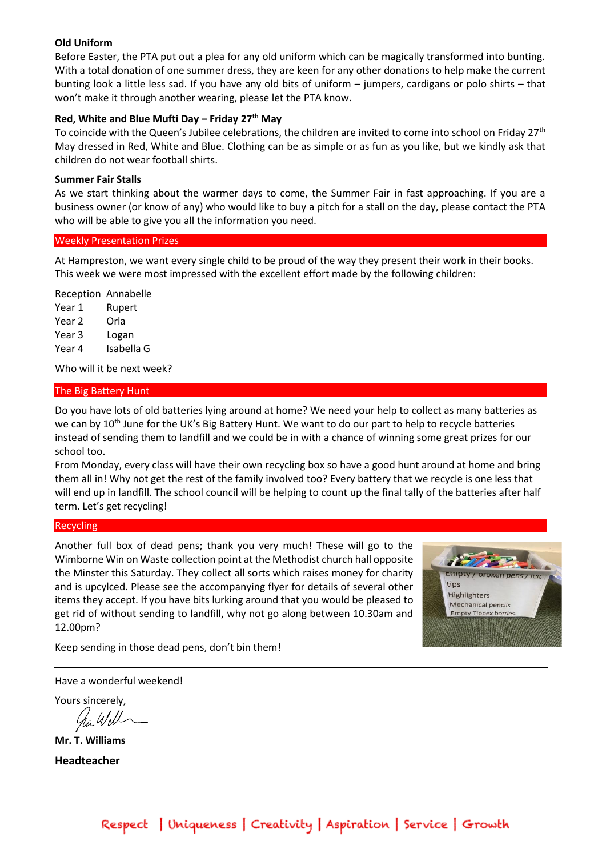#### **Old Uniform**

Before Easter, the PTA put out a plea for any old uniform which can be magically transformed into bunting. With a total donation of one summer dress, they are keen for any other donations to help make the current bunting look a little less sad. If you have any old bits of uniform – jumpers, cardigans or polo shirts – that won't make it through another wearing, please let the PTA know.

## **Red, White and Blue Mufti Day – Friday 27th May**

To coincide with the Queen's Jubilee celebrations, the children are invited to come into school on Friday 27<sup>th</sup> May dressed in Red, White and Blue. Clothing can be as simple or as fun as you like, but we kindly ask that children do not wear football shirts.

#### **Summer Fair Stalls**

As we start thinking about the warmer days to come, the Summer Fair in fast approaching. If you are a business owner (or know of any) who would like to buy a pitch for a stall on the day, please contact the PTA who will be able to give you all the information you need.

#### Weekly Presentation Prizes

At Hampreston, we want every single child to be proud of the way they present their work in their books. This week we were most impressed with the excellent effort made by the following children:

Reception Annabelle Year 1 Rupert Year 2 Orla Year 3 Logan Year 4 Isabella G

Who will it be next week?

#### The Big Battery Hunt

Do you have lots of old batteries lying around at home? We need your help to collect as many batteries as we can by 10<sup>th</sup> June for the UK's Big Battery Hunt. We want to do our part to help to recycle batteries instead of sending them to landfill and we could be in with a chance of winning some great prizes for our school too.

From Monday, every class will have their own recycling box so have a good hunt around at home and bring them all in! Why not get the rest of the family involved too? Every battery that we recycle is one less that will end up in landfill. The school council will be helping to count up the final tally of the batteries after half term. Let's get recycling!

#### Recycling

Another full box of dead pens; thank you very much! These will go to the Wimborne Win on Waste collection point at the Methodist church hall opposite the Minster this Saturday. They collect all sorts which raises money for charity and is upcylced. Please see the accompanying flyer for details of several other items they accept. If you have bits lurking around that you would be pleased to get rid of without sending to landfill, why not go along between 10.30am and 12.00pm?



Keep sending in those dead pens, don't bin them!

Have a wonderful weekend!

Yours sincerely,

hi Will

**Mr. T. Williams Headteacher**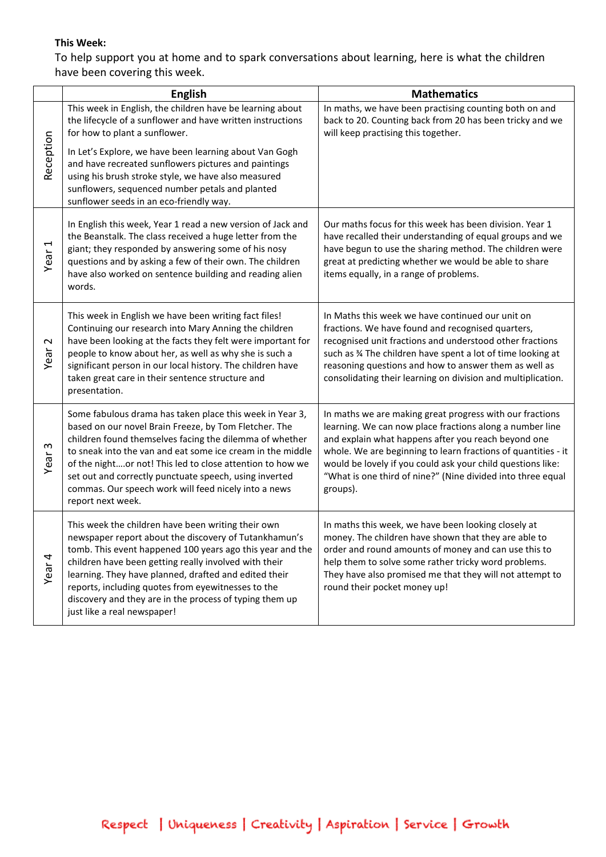# **This Week:**

To help support you at home and to spark conversations about learning, here is what the children have been covering this week.

|                              | <b>English</b>                                                                                                                                                                                                                                                                                                                                                                                                                                 | <b>Mathematics</b>                                                                                                                                                                                                                                                                                                                                                                     |
|------------------------------|------------------------------------------------------------------------------------------------------------------------------------------------------------------------------------------------------------------------------------------------------------------------------------------------------------------------------------------------------------------------------------------------------------------------------------------------|----------------------------------------------------------------------------------------------------------------------------------------------------------------------------------------------------------------------------------------------------------------------------------------------------------------------------------------------------------------------------------------|
| Reception                    | This week in English, the children have be learning about<br>the lifecycle of a sunflower and have written instructions<br>for how to plant a sunflower.<br>In Let's Explore, we have been learning about Van Gogh<br>and have recreated sunflowers pictures and paintings<br>using his brush stroke style, we have also measured<br>sunflowers, sequenced number petals and planted<br>sunflower seeds in an eco-friendly way.                | In maths, we have been practising counting both on and<br>back to 20. Counting back from 20 has been tricky and we<br>will keep practising this together.                                                                                                                                                                                                                              |
| $\blacktriangleleft$<br>Year | In English this week, Year 1 read a new version of Jack and<br>the Beanstalk. The class received a huge letter from the<br>giant; they responded by answering some of his nosy<br>questions and by asking a few of their own. The children<br>have also worked on sentence building and reading alien<br>words.                                                                                                                                | Our maths focus for this week has been division. Year 1<br>have recalled their understanding of equal groups and we<br>have begun to use the sharing method. The children were<br>great at predicting whether we would be able to share<br>items equally, in a range of problems.                                                                                                      |
| $\sim$<br>Year               | This week in English we have been writing fact files!<br>Continuing our research into Mary Anning the children<br>have been looking at the facts they felt were important for<br>people to know about her, as well as why she is such a<br>significant person in our local history. The children have<br>taken great care in their sentence structure and<br>presentation.                                                                     | In Maths this week we have continued our unit on<br>fractions. We have found and recognised quarters,<br>recognised unit fractions and understood other fractions<br>such as % The children have spent a lot of time looking at<br>reasoning questions and how to answer them as well as<br>consolidating their learning on division and multiplication.                               |
| w<br>Year                    | Some fabulous drama has taken place this week in Year 3,<br>based on our novel Brain Freeze, by Tom Fletcher. The<br>children found themselves facing the dilemma of whether<br>to sneak into the van and eat some ice cream in the middle<br>of the nightor not! This led to close attention to how we<br>set out and correctly punctuate speech, using inverted<br>commas. Our speech work will feed nicely into a news<br>report next week. | In maths we are making great progress with our fractions<br>learning. We can now place fractions along a number line<br>and explain what happens after you reach beyond one<br>whole. We are beginning to learn fractions of quantities - it<br>would be lovely if you could ask your child questions like:<br>"What is one third of nine?" (Nine divided into three equal<br>groups). |
| Year <sub>4</sub>            | This week the children have been writing their own<br>newspaper report about the discovery of Tutankhamun's<br>tomb. This event happened 100 years ago this year and the<br>children have been getting really involved with their<br>learning. They have planned, drafted and edited their<br>reports, including quotes from eyewitnesses to the<br>discovery and they are in the process of typing them up<br>just like a real newspaper!     | In maths this week, we have been looking closely at<br>money. The children have shown that they are able to<br>order and round amounts of money and can use this to<br>help them to solve some rather tricky word problems.<br>They have also promised me that they will not attempt to<br>round their pocket money up!                                                                |